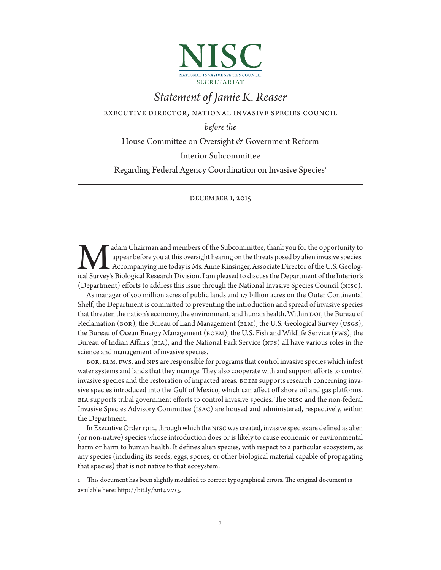

# *Statement of Jamie K. Reaser*

executive director, national invasive species council

*before the* 

House Committee on Oversight & Government Reform

Interior Subcommittee

Regarding Federal Agency Coordination on Invasive Species<sup>1</sup>

## december 1, 2015

adam Chairman and members of the Subcommittee, thank you for the opportunity to appear before you at this oversight hearing on the threats posed by alien invasive species. Accompanying me today is Ms. Anne Kinsinger, Associate Director of the U.S. Geolog**ical Survey's Biological Research Division. I am pleased to discuss the Department of the Interior's Accompanying me today is Ms. Anne Kinsinger, Associate Director of the U.S. Geological Survey's Biological Research Divi** (Department) efforts to address this issue through the National Invasive Species Council (nisc).

As manager of 500 million acres of public lands and 1.7 billion acres on the Outer Continental Shelf, the Department is committed to preventing the introduction and spread of invasive species that threaten the nation's economy, the environment, and human health. Within DOI, the Bureau of Reclamation (BOR), the Bureau of Land Management (BLM), the U.S. Geological Survey (USGS), the Bureau of Ocean Energy Management (boem), the U.S. Fish and Wildlife Service (fws), the Bureau of Indian Affairs (bia), and the National Park Service (nps) all have various roles in the science and management of invasive species.

bor, blm, fws, and nps are responsible for programs that control invasive species which infest water systems and lands that they manage. They also cooperate with and support efforts to control invasive species and the restoration of impacted areas. boem supports research concerning invasive species introduced into the Gulf of Mexico, which can affect off shore oil and gas platforms. bia supports tribal government efforts to control invasive species. The nisc and the non-federal Invasive Species Advisory Committee (isac) are housed and administered, respectively, within the Department.

In Executive Order 13112, through which the nisc was created, invasive species are defined as alien (or non-native) species whose introduction does or is likely to cause economic or environmental harm or harm to human health. It defines alien species, with respect to a particular ecosystem, as any species (including its seeds, eggs, spores, or other biological material capable of propagating that species) that is not native to that ecosystem.

<sup>1</sup> This document has been slightly modified to correct typographical errors. The original document is available here: http://bit.ly/2nt4MZQ.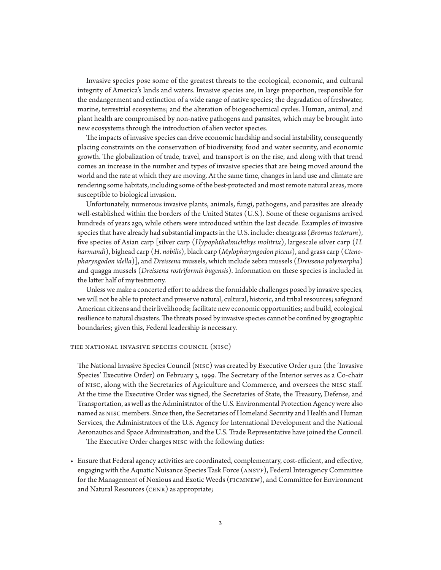Invasive species pose some of the greatest threats to the ecological, economic, and cultural integrity of America's lands and waters. Invasive species are, in large proportion, responsible for the endangerment and extinction of a wide range of native species; the degradation of freshwater, marine, terrestrial ecosystems; and the alteration of biogeochemical cycles. Human, animal, and plant health are compromised by non-native pathogens and parasites, which may be brought into new ecosystems through the introduction of alien vector species.

The impacts of invasive species can drive economic hardship and social instability, consequently placing constraints on the conservation of biodiversity, food and water security, and economic growth. The globalization of trade, travel, and transport is on the rise, and along with that trend comes an increase in the number and types of invasive species that are being moved around the world and the rate at which they are moving. At the same time, changes in land use and climate are rendering some habitats, including some of the best-protected and most remote natural areas, more susceptible to biological invasion.

Unfortunately, numerous invasive plants, animals, fungi, pathogens, and parasites are already well-established within the borders of the United States (U.S.). Some of these organisms arrived hundreds of years ago, while others were introduced within the last decade. Examples of invasive species that have already had substantial impacts in the U.S. include: cheatgrass (*Bromus tectorum*), five species of Asian carp [silver carp (*Hypophthalmichthys molitrix*), largescale silver carp (*H. harmandi*), bighead carp (*H. nobilis*), black carp (*Mylopharyngodon piceus*), and grass carp (*Ctenopharyngodon idella*)], and *Dreissena* mussels, which include zebra mussels (*Dreissena polymorpha*) and quagga mussels (*Dreissena rostriformis bugensis*). Information on these species is included in the latter half of my testimony.

Unless we make a concerted effort to address the formidable challenges posed by invasive species, we will not be able to protect and preserve natural, cultural, historic, and tribal resources; safeguard American citizens and their livelihoods; facilitate new economic opportunities; and build, ecological resilience to natural disasters. The threats posed by invasive species cannot be confined by geographic boundaries; given this, Federal leadership is necessary.

#### the national invasive species council (nisc)

The National Invasive Species Council (nisc) was created by Executive Order 13112 (the 'Invasive Species' Executive Order) on February 3, 1999. The Secretary of the Interior serves as a Co-chair of nisc, along with the Secretaries of Agriculture and Commerce, and oversees the nisc staff. At the time the Executive Order was signed, the Secretaries of State, the Treasury, Defense, and Transportation, as well as the Administrator of the U.S. Environmental Protection Agency were also named as nisc members. Since then, the Secretaries of Homeland Security and Health and Human Services, the Administrators of the U.S. Agency for International Development and the National Aeronautics and Space Administration, and the U.S. Trade Representative have joined the Council.

The Executive Order charges nisc with the following duties:

• Ensure that Federal agency activities are coordinated, complementary, cost-efficient, and effective, engaging with the Aquatic Nuisance Species Task Force (anstf), Federal Interagency Committee for the Management of Noxious and Exotic Weeds (ficmnew), and Committee for Environment and Natural Resources (CENR) as appropriate;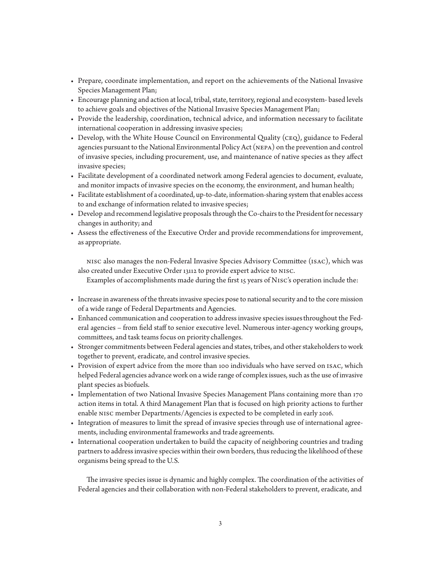- Prepare, coordinate implementation, and report on the achievements of the National Invasive Species Management Plan;
- Encourage planning and action at local, tribal, state, territory, regional and ecosystem- based levels to achieve goals and objectives of the National Invasive Species Management Plan;
- Provide the leadership, coordination, technical advice, and information necessary to facilitate international cooperation in addressing invasive species;
- Develop, with the White House Council on Environmental Quality (ceq), guidance to Federal agencies pursuant to the National Environmental Policy Act (nepa) on the prevention and control of invasive species, including procurement, use, and maintenance of native species as they affect invasive species;
- Facilitate development of a coordinated network among Federal agencies to document, evaluate, and monitor impacts of invasive species on the economy, the environment, and human health;
- Facilitate establishment of a coordinated, up-to-date, information-sharing system that enables access to and exchange of information related to invasive species;
- Develop and recommend legislative proposals through the Co-chairs to the President for necessary changes in authority; and
- Assess the effectiveness of the Executive Order and provide recommendations for improvement, as appropriate.

nisc also manages the non-Federal Invasive Species Advisory Committee (isac), which was also created under Executive Order 13112 to provide expert advice to nisc.

Examples of accomplishments made during the first 15 years of Nisc's operation include the:

- Increase in awareness of the threats invasive species pose to national security and to the core mission of a wide range of Federal Departments and Agencies.
- Enhanced communication and cooperation to address invasive species issues throughout the Federal agencies – from field staff to senior executive level. Numerous inter-agency working groups, committees, and task teams focus on priority challenges.
- Stronger commitments between Federal agencies and states, tribes, and other stakeholders to work together to prevent, eradicate, and control invasive species.
- Provision of expert advice from the more than 100 individuals who have served on isac, which helped Federal agencies advance work on a wide range of complex issues, such as the use of invasive plant species as biofuels.
- Implementation of two National Invasive Species Management Plans containing more than 170 action items in total. A third Management Plan that is focused on high priority actions to further enable nisc member Departments/Agencies is expected to be completed in early 2016.
- Integration of measures to limit the spread of invasive species through use of international agreements, including environmental frameworks and trade agreements.
- International cooperation undertaken to build the capacity of neighboring countries and trading partners to address invasive species within their own borders, thus reducing the likelihood of these organisms being spread to the U.S.

The invasive species issue is dynamic and highly complex. The coordination of the activities of Federal agencies and their collaboration with non-Federal stakeholders to prevent, eradicate, and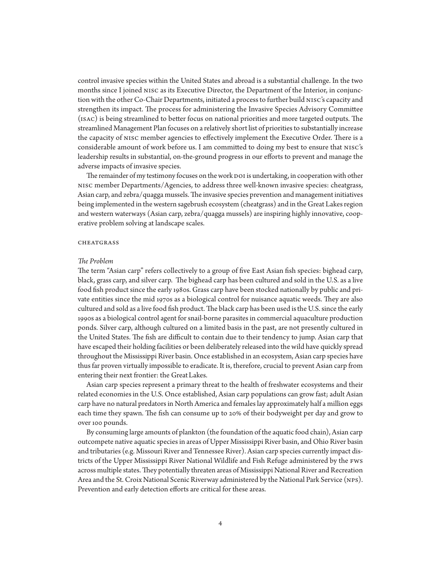control invasive species within the United States and abroad is a substantial challenge. In the two months since I joined nisc as its Executive Director, the Department of the Interior, in conjunction with the other Co-Chair Departments, initiated a process to further build nisc's capacity and strengthen its impact. The process for administering the Invasive Species Advisory Committee (isac) is being streamlined to better focus on national priorities and more targeted outputs. The streamlined Management Plan focuses on a relatively short list of priorities to substantially increase the capacity of nisc member agencies to effectively implement the Executive Order. There is a considerable amount of work before us. I am committed to doing my best to ensure that nisc's leadership results in substantial, on-the-ground progress in our efforts to prevent and manage the adverse impacts of invasive species.

The remainder of my testimony focuses on the work DOI is undertaking, in cooperation with other nisc member Departments/Agencies, to address three well-known invasive species: cheatgrass, Asian carp, and zebra/quagga mussels. The invasive species prevention and management initiatives being implemented in the western sagebrush ecosystem (cheatgrass) and in the Great Lakes region and western waterways (Asian carp, zebra/quagga mussels) are inspiring highly innovative, cooperative problem solving at landscape scales.

#### **CHEATGRASS**

## *The Problem*

The term "Asian carp" refers collectively to a group of five East Asian fish species: bighead carp, black, grass carp, and silver carp. The bighead carp has been cultured and sold in the U.S. as a live food fish product since the early 1980s. Grass carp have been stocked nationally by public and private entities since the mid 1970s as a biological control for nuisance aquatic weeds. They are also cultured and sold as a live food fish product. The black carp has been used is the U.S. since the early 1990s as a biological control agent for snail-borne parasites in commercial aquaculture production ponds. Silver carp, although cultured on a limited basis in the past, are not presently cultured in the United States. The fish are difficult to contain due to their tendency to jump. Asian carp that have escaped their holding facilities or been deliberately released into the wild have quickly spread throughout the Mississippi River basin. Once established in an ecosystem, Asian carp species have thus far proven virtually impossible to eradicate. It is, therefore, crucial to prevent Asian carp from entering their next frontier: the Great Lakes.

Asian carp species represent a primary threat to the health of freshwater ecosystems and their related economies in the U.S. Once established, Asian carp populations can grow fast; adult Asian carp have no natural predators in North America and females lay approximately half a million eggs each time they spawn. The fish can consume up to 20% of their bodyweight per day and grow to over 100 pounds.

By consuming large amounts of plankton (the foundation of the aquatic food chain), Asian carp outcompete native aquatic species in areas of Upper Mississippi River basin, and Ohio River basin and tributaries (e.g. Missouri River and Tennessee River). Asian carp species currently impact districts of the Upper Mississippi River National Wildlife and Fish Refuge administered by the fws across multiple states. They potentially threaten areas of Mississippi National River and Recreation Area and the St. Croix National Scenic Riverway administered by the National Park Service (nps). Prevention and early detection efforts are critical for these areas.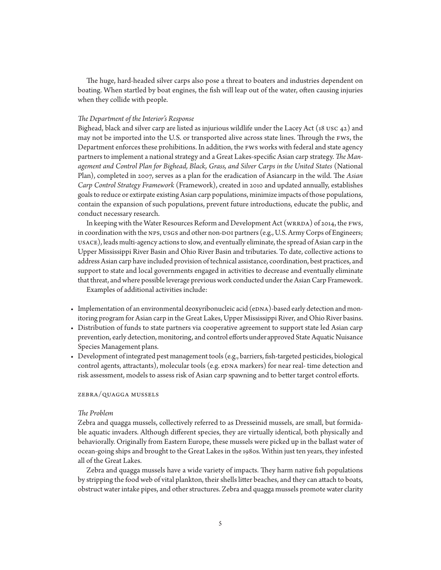The huge, hard-headed silver carps also pose a threat to boaters and industries dependent on boating. When startled by boat engines, the fish will leap out of the water, often causing injuries when they collide with people.

## *The Department of the Interior's Response*

Bighead, black and silver carp are listed as injurious wildlife under the Lacey Act (18 usc  $42$ ) and may not be imported into the U.S. or transported alive across state lines. Through the fws, the Department enforces these prohibitions. In addition, the fws works with federal and state agency partners to implement a national strategy and a Great Lakes-specific Asian carp strategy. *The Man*agement and Control Plan for Bighead, Black, Grass, and Silver Carps in the United States (National Plan), completed in 2007, serves as a plan for the eradication of Asiancarp in the wild. The *Asian Carp Control Strategy Framework* (Framework), created in 2010 and updated annually, establishes goals to reduce or extirpate existing Asian carp populations, minimize impacts of those populations, contain the expansion of such populations, prevent future introductions, educate the public, and conduct necessary research.

In keeping with the Water Resources Reform and Development Act (WRRDA) of 2014, the FWS, in coordination with the NPS, USGS and other non-DOI partners (e.g., U.S. Army Corps of Engineers; usace), leads multi-agency actions to slow, and eventually eliminate, the spread of Asian carp in the Upper Mississippi River Basin and Ohio River Basin and tributaries. To date, collective actions to address Asian carp have included provision of technical assistance, coordination, best practices, and support to state and local governments engaged in activities to decrease and eventually eliminate that threat, and where possible leverage previous work conducted under the Asian Carp Framework. Examples of additional activities include:

- Implementation of an environmental deoxyribonucleic acid (eDNA)-based early detection and monitoring program for Asian carp in the Great Lakes, Upper Mississippi River, and Ohio River basins.
- Distribution of funds to state partners via cooperative agreement to support state led Asian carp prevention, early detection, monitoring, and control efforts under approved State Aquatic Nuisance Species Management plans.
- Development of integrated pest management tools (e.g., barriers, fish-targeted pesticides, biological control agents, attractants), molecular tools (e.g. eDNA markers) for near real- time detection and risk assessment, models to assess risk of Asian carp spawning and to better target control efforts.

## zebra/quagga mussels

## *The Problem*

Zebra and quagga mussels, collectively referred to as Dresseinid mussels, are small, but formidable aquatic invaders. Although different species, they are virtually identical, both physically and behaviorally. Originally from Eastern Europe, these mussels were picked up in the ballast water of ocean-going ships and brought to the Great Lakes in the 1980s. Within just ten years, they infested all of the Great Lakes.

Zebra and quagga mussels have a wide variety of impacts. They harm native fish populations by stripping the food web of vital plankton, their shells litter beaches, and they can attach to boats, obstruct water intake pipes, and other structures. Zebra and quagga mussels promote water clarity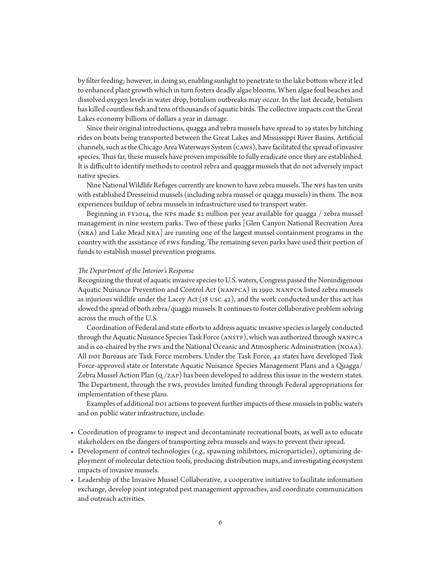by filter feeding; however, in doing so, enabling sunlight to penetrate to the lake bottom where it led to enhanced plant growth which in turn fosters deadly algae blooms. When algae foul beaches and dissolved oxygen levels in water drop, botulism outbreaks may occur. In the last decade, botulism has killed countless fish and tens of thousands of aquatic birds. The collective impacts cost the Great Lakes economy billions of dollars a year in damage.

Since their original introductions, quagga and zebra mussels have spread to 29 states by hitching rides on boats being transported between the Great Lakes and Mississippi River Basins. Artificial channels, such as the Chicago Area Waterways System (caws), have facilitated the spread of invasive species. Thus far, these mussels have proven impossible to fully eradicate once they are established. It is difficult to identify methods to control zebra and quagga mussels that do not adversely impact native species.

Nine National Wildlife Refuges currently are known to have zebra mussels. The nps has ten units with established Dresseinid mussels (including zebra mussel or quagga mussels) in them. The bor experiences buildup of zebra mussels in infrastructure used to transport water.

Beginning in  $FY2014$ , the NPS made \$2 million per year available for quagga / zebra mussel management in nine western parks. Two of these parks [Glen Canyon National Recreation Area (nra) and Lake Mead nra] are running one of the largest mussel containment programs in the country with the assistance of fws funding. The remaining seven parks have used their portion of funds to establish mussel prevention programs.

#### *The Department of the Interior's Response*

Recognizing the threat of aquatic invasive species to U.S. waters, Congress passed the Nonindigenous Aquatic Nuisance Prevention and Control Act (nanpca) in 1990. nanpca listed zebra mussels as injurious wildlife under the Lacey Act  $(18 \text{ usc } 42)$ , and the work conducted under this act has slowed the spread of both zebra/quagga mussels. It continues to foster collaborative problem solving across the much of the U.S.

Coordination of Federal and state efforts to address aquatic invasive species is largely conducted through the Aquatic Nuisance Species Task Force (ANSTF), which was authorized through NANPCA and is co-chaired by the fws and the National Oceanic and Atmospheric Administration (noaa). All DOI Bureaus are Task Force members. Under the Task Force, 42 states have developed Task Force-approved state or Interstate Aquatic Nuisance Species Management Plans and a Quagga/ Zebra Mussel Action Plan  $(Q/ZAP)$  has been developed to address this issue in the western states. The Department, through the fws, provides limited funding through Federal appropriations for implementation of these plans.

Examples of additional DOI actions to prevent further impacts of these mussels in public waters and on public water infrastructure, include:

- Coordination of programs to inspect and decontaminate recreational boats, as well as to educate stakeholders on the dangers of transporting zebra mussels and ways to prevent their spread.
- Development of control technologies (*e.g.*, spawning inhibitors, microparticles), optimizing deployment of molecular detection tools, producing distribution maps, and investigating ecosystem impacts of invasive mussels.
- Leadership of the Invasive Mussel Collaborative, a cooperative initiative to facilitate information exchange, develop joint integrated pest management approaches, and coordinate communication and outreach activities.